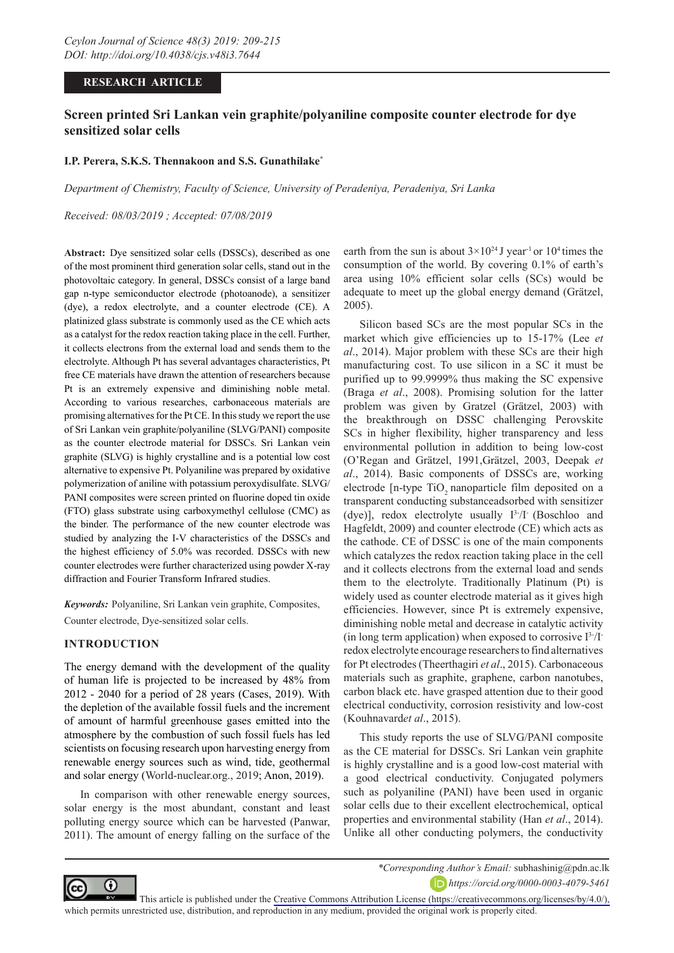### **RESEARCH ARTICLE**

# **Screen printed Sri Lankan vein graphite/polyaniline composite counter electrode for dye sensitized solar cells**

### **I.P. Perera, S.K.S. Thennakoon and S.S. Gunathilake\***

*Department of Chemistry, Faculty of Science, University of Peradeniya, Peradeniya, Sri Lanka* 

*Received: 08/03/2019 ; Accepted: 07/08/2019*

**Abstract:** Dye sensitized solar cells (DSSCs), described as one of the most prominent third generation solar cells, stand out in the photovoltaic category. In general, DSSCs consist of a large band gap n-type semiconductor electrode (photoanode), a sensitizer (dye), a redox electrolyte, and a counter electrode (CE). A platinized glass substrate is commonly used as the CE which acts as a catalyst for the redox reaction taking place in the cell. Further, it collects electrons from the external load and sends them to the electrolyte. Although Pt has several advantages characteristics, Pt free CE materials have drawn the attention of researchers because Pt is an extremely expensive and diminishing noble metal. According to various researches, carbonaceous materials are promising alternatives for the Pt CE. In this study we report the use of Sri Lankan vein graphite/polyaniline (SLVG/PANI) composite as the counter electrode material for DSSCs. Sri Lankan vein graphite (SLVG) is highly crystalline and is a potential low cost alternative to expensive Pt. Polyaniline was prepared by oxidative polymerization of aniline with potassium peroxydisulfate. SLVG/ PANI composites were screen printed on fluorine doped tin oxide (FTO) glass substrate using carboxymethyl cellulose (CMC) as the binder. The performance of the new counter electrode was studied by analyzing the I-V characteristics of the DSSCs and the highest efficiency of 5.0% was recorded. DSSCs with new counter electrodes were further characterized using powder X-ray diffraction and Fourier Transform Infrared studies.

*Keywords:* Polyaniline, Sri Lankan vein graphite, Composites, Counter electrode, Dye-sensitized solar cells.

#### **INTRODUCTION**

The energy demand with the development of the quality of human life is projected to be increased by 48% from 2012 - 2040 for a period of 28 years (Cases, 2019). With the depletion of the available fossil fuels and the increment of amount of harmful greenhouse gases emitted into the atmosphere by the combustion of such fossil fuels has led scientists on focusing research upon harvesting energy from renewable energy sources such as wind, tide, geothermal and solar energy (World-nuclear.org., 2019; Anon, 2019).

In comparison with other renewable energy sources, solar energy is the most abundant, constant and least polluting energy source which can be harvested (Panwar, 2011). The amount of energy falling on the surface of the earth from the sun is about  $3 \times 10^{24}$  J year<sup>-1</sup> or 10<sup>4</sup> times the consumption of the world. By covering 0.1% of earth's area using 10% efficient solar cells (SCs) would be adequate to meet up the global energy demand (Grätzel, 2005).

Silicon based SCs are the most popular SCs in the market which give efficiencies up to 15-17% (Lee *et al*., 2014). Major problem with these SCs are their high manufacturing cost. To use silicon in a SC it must be purified up to 99.9999% thus making the SC expensive (Braga *et al*., 2008). Promising solution for the latter problem was given by Gratzel (Grätzel, 2003) with the breakthrough on DSSC challenging Perovskite SCs in higher flexibility, higher transparency and less environmental pollution in addition to being low-cost (O'Regan and Grätzel, 1991,Grätzel, 2003, Deepak *et al*., 2014). Basic components of DSSCs are, working electrode [n-type TiO<sub>2</sub> nanoparticle film deposited on a transparent conducting substanceadsorbed with sensitizer (dye)], redox electrolyte usually  $I<sup>3</sup>/I$  (Boschloo and Hagfeldt, 2009) and counter electrode (CE) which acts as the cathode. CE of DSSC is one of the main components which catalyzes the redox reaction taking place in the cell and it collects electrons from the external load and sends them to the electrolyte. Traditionally Platinum (Pt) is widely used as counter electrode material as it gives high efficiencies. However, since Pt is extremely expensive, diminishing noble metal and decrease in catalytic activity (in long term application) when exposed to corrosive  $I<sup>3</sup>/I<sup>-1</sup>$ redox electrolyte encourage researchers to find alternatives for Pt electrodes (Theerthagiri *et al*., 2015). Carbonaceous materials such as graphite, graphene, carbon nanotubes, carbon black etc. have grasped attention due to their good electrical conductivity, corrosion resistivity and low-cost (Kouhnavard*et al*., 2015).

This study reports the use of SLVG/PANI composite as the CE material for DSSCs. Sri Lankan vein graphite is highly crystalline and is a good low-cost material with a good electrical conductivity. Conjugated polymers such as polyaniline (PANI) have been used in organic solar cells due to their excellent electrochemical, optical properties and environmental stability (Han *et al*., 2014). Unlike all other conducting polymers, the conductivity



*\*Corresponding Author's Email:* subhashinig@pdn.ac.lk *https://orcid.org/0000-0003-4079-5461*

This article is published under the [Creative Commons Attribution License \(https://creativecommons.org/licenses/by/4.0/\),](https://creativecommons.org/licenses/by/4.0/)  which permits unrestricted use, distribution, and reproduction in any medium, provided the original work is properly cited.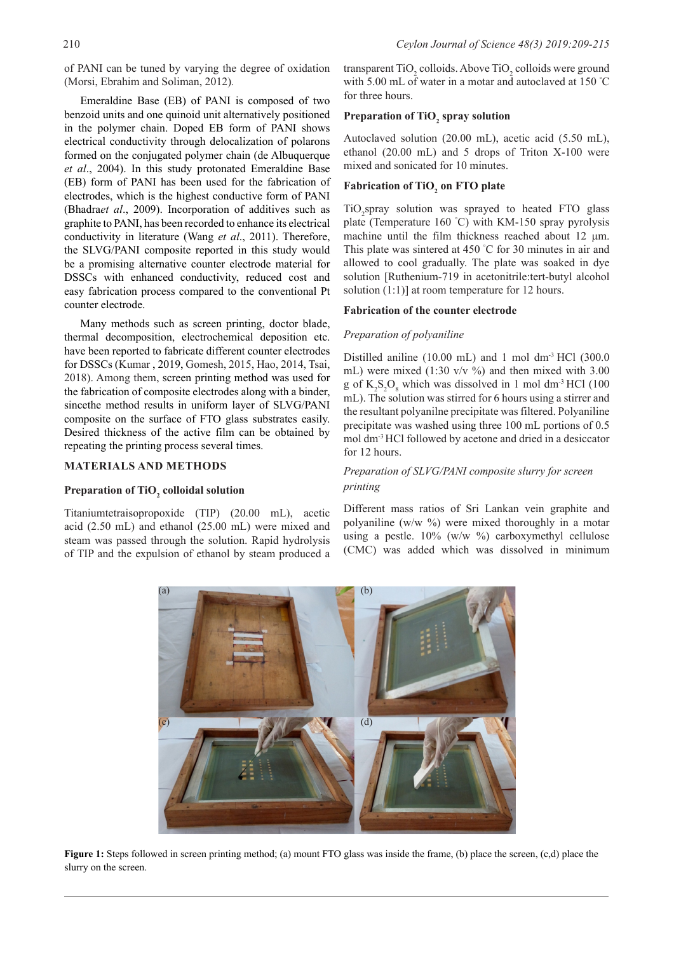of PANI can be tuned by varying the degree of oxidation (Morsi, Ebrahim and Soliman, 2012)*.*

Emeraldine Base (EB) of PANI is composed of two benzoid units and one quinoid unit alternatively positioned in the polymer chain. Doped EB form of PANI shows electrical conductivity through delocalization of polarons formed on the conjugated polymer chain (de Albuquerque *et al*., 2004). In this study protonated Emeraldine Base (EB) form of PANI has been used for the fabrication of electrodes, which is the highest conductive form of PANI (Bhadra*et al*., 2009). Incorporation of additives such as graphite to PANI, has been recorded to enhance its electrical conductivity in literature (Wang *et al*., 2011). Therefore, the SLVG/PANI composite reported in this study would be a promising alternative counter electrode material for DSSCs with enhanced conductivity, reduced cost and easy fabrication process compared to the conventional Pt counter electrode.

Many methods such as screen printing, doctor blade, thermal decomposition, electrochemical deposition etc. have been reported to fabricate different counter electrodes for DSSCs (Kumar , 2019, Gomesh, 2015, Hao, 2014, Tsai, 2018). Among them, screen printing method was used for the fabrication of composite electrodes along with a binder, sincethe method results in uniform layer of SLVG/PANI composite on the surface of FTO glass substrates easily. Desired thickness of the active film can be obtained by repeating the printing process several times.

#### **MATERIALS AND METHODS**

# **Preparation of TiO2 colloidal solution**

Titaniumtetraisopropoxide (TIP) (20.00 mL), acetic acid (2.50 mL) and ethanol (25.00 mL) were mixed and steam was passed through the solution. Rapid hydrolysis of TIP and the expulsion of ethanol by steam produced a transparent TiO<sub>2</sub> colloids. Above TiO<sub>2</sub> colloids were ground with 5.00 mL of water in a motar and autoclaved at 150 ° C for three hours.

## Preparation of TiO<sub>2</sub> spray solution

Autoclaved solution (20.00 mL), acetic acid (5.50 mL), ethanol (20.00 mL) and 5 drops of Triton X-100 were mixed and sonicated for 10 minutes.

# **Fabrication of TiO<sub>2</sub> on FTO plate**

TiO<sub>2</sub>spray solution was sprayed to heated FTO glass plate (Temperature 160 ° C) with KM-150 spray pyrolysis machine until the film thickness reached about 12 μm. This plate was sintered at 450 ° C for 30 minutes in air and allowed to cool gradually. The plate was soaked in dye solution [Ruthenium-719 in acetonitrile:tert-butyl alcohol solution (1:1)] at room temperature for 12 hours.

#### **Fabrication of the counter electrode**

#### *Preparation of polyaniline*

Distilled aniline  $(10.00 \text{ mL})$  and 1 mol dm<sup>-3</sup> HCl  $(300.0 \text{ m})$ mL) were mixed  $(1:30 \text{ v/v } \%)$  and then mixed with 3.00 g of  $K_2S_2O_8$  which was dissolved in 1 mol dm<sup>-3</sup> HCl (100 mL). The solution was stirred for 6 hours using a stirrer and the resultant polyanilne precipitate was filtered. Polyaniline precipitate was washed using three 100 mL portions of 0.5 mol dm-3 HCl followed by acetone and dried in a desiccator for 12 hours.

### *Preparation of SLVG/PANI composite slurry for screen printing*

Different mass ratios of Sri Lankan vein graphite and polyaniline (w/w %) were mixed thoroughly in a motar using a pestle.  $10\%$  (w/w %) carboxymethyl cellulose (CMC) was added which was dissolved in minimum



**Figure 1:** Steps followed in screen printing method; (a) mount FTO glass was inside the frame, (b) place the screen, (c,d) place the slurry on the screen.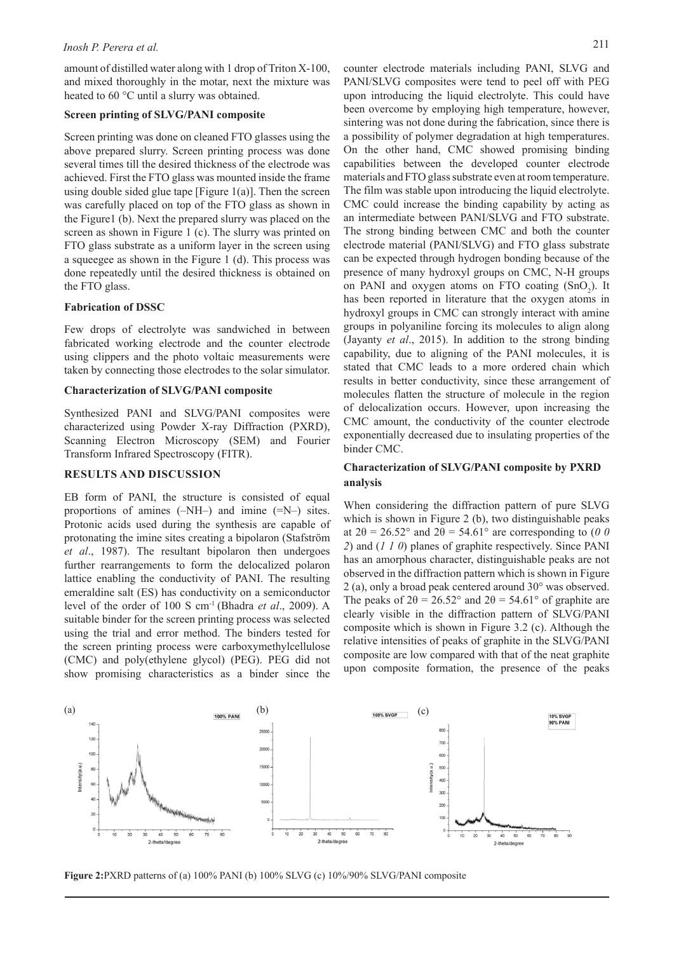amount of distilled water along with 1 drop of Triton X-100, and mixed thoroughly in the motar, next the mixture was heated to 60 °C until a slurry was obtained.

#### **Screen printing of SLVG/PANI composite**

Screen printing was done on cleaned FTO glasses using the above prepared slurry. Screen printing process was done several times till the desired thickness of the electrode was achieved. First the FTO glass was mounted inside the frame using double sided glue tape [Figure  $1(a)$ ]. Then the screen was carefully placed on top of the FTO glass as shown in the Figure1 (b). Next the prepared slurry was placed on the screen as shown in Figure 1 (c). The slurry was printed on FTO glass substrate as a uniform layer in the screen using a squeegee as shown in the Figure 1 (d). This process was done repeatedly until the desired thickness is obtained on the FTO glass.

#### **Fabrication of DSSC**

Few drops of electrolyte was sandwiched in between fabricated working electrode and the counter electrode using clippers and the photo voltaic measurements were taken by connecting those electrodes to the solar simulator.

### **Characterization of SLVG/PANI composite**

Synthesized PANI and SLVG/PANI composites were characterized using Powder X-ray Diffraction (PXRD), Scanning Electron Microscopy (SEM) and Fourier Transform Infrared Spectroscopy (FITR).

### **RESULTS AND DISCUSSION**

EB form of PANI, the structure is consisted of equal proportions of amines (–NH–) and imine (=N–) sites. Protonic acids used during the synthesis are capable of protonating the imine sites creating a bipolaron (Stafström *et al*., 1987). The resultant bipolaron then undergoes further rearrangements to form the delocalized polaron lattice enabling the conductivity of PANI. The resulting emeraldine salt (ES) has conductivity on a semiconductor level of the order of 100 S cm-1 (Bhadra *et al*., 2009). A suitable binder for the screen printing process was selected using the trial and error method. The binders tested for the screen printing process were carboxymethylcellulose (CMC) and poly(ethylene glycol) (PEG). PEG did not show promising characteristics as a binder since the counter electrode materials including PANI, SLVG and PANI/SLVG composites were tend to peel off with PEG upon introducing the liquid electrolyte. This could have been overcome by employing high temperature, however, sintering was not done during the fabrication, since there is a possibility of polymer degradation at high temperatures. On the other hand, CMC showed promising binding capabilities between the developed counter electrode materials and FTO glass substrate even at room temperature. The film was stable upon introducing the liquid electrolyte. CMC could increase the binding capability by acting as an intermediate between PANI/SLVG and FTO substrate. The strong binding between CMC and both the counter electrode material (PANI/SLVG) and FTO glass substrate can be expected through hydrogen bonding because of the presence of many hydroxyl groups on CMC, N-H groups on PANI and oxygen atoms on FTO coating  $(SnO<sub>2</sub>)$ . It has been reported in literature that the oxygen atoms in hydroxyl groups in CMC can strongly interact with amine groups in polyaniline forcing its molecules to align along (Jayanty *et al*., 2015). In addition to the strong binding capability, due to aligning of the PANI molecules, it is stated that CMC leads to a more ordered chain which results in better conductivity, since these arrangement of molecules flatten the structure of molecule in the region of delocalization occurs. However, upon increasing the CMC amount, the conductivity of the counter electrode exponentially decreased due to insulating properties of the binder CMC.

## **Characterization of SLVG/PANI composite by PXRD analysis**

When considering the diffraction pattern of pure SLVG which is shown in Figure 2 (b), two distinguishable peaks at  $2\theta = 26.52^{\circ}$  and  $2\theta = 54.61^{\circ}$  are corresponding to (0 0 *2*) and (*1 1 0*) planes of graphite respectively. Since PANI has an amorphous character, distinguishable peaks are not observed in the diffraction pattern which is shown in Figure 2 (a), only a broad peak centered around 30° was observed. The peaks of  $2\theta = 26.52^{\circ}$  and  $2\theta = 54.61^{\circ}$  of graphite are clearly visible in the diffraction pattern of SLVG/PANI composite which is shown in Figure 3.2 (c). Although the relative intensities of peaks of graphite in the SLVG/PANI composite are low compared with that of the neat graphite upon composite formation, the presence of the peaks



**Figure 2:**PXRD patterns of (a) 100% PANI (b) 100% SLVG (c) 10%/90% SLVG/PANI composite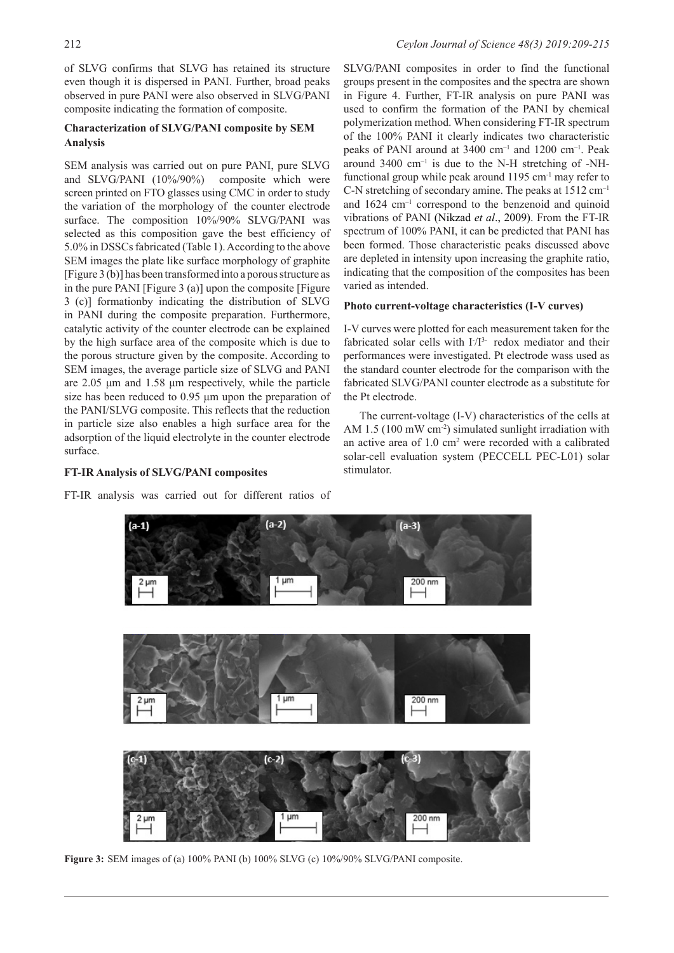of SLVG confirms that SLVG has retained its structure even though it is dispersed in PANI. Further, broad peaks observed in pure PANI were also observed in SLVG/PANI composite indicating the formation of composite.

## **Characterization of SLVG/PANI composite by SEM Analysis**

SEM analysis was carried out on pure PANI, pure SLVG and SLVG/PANI (10%/90%) composite which were screen printed on FTO glasses using CMC in order to study the variation of the morphology of the counter electrode surface. The composition 10%/90% SLVG/PANI was selected as this composition gave the best efficiency of 5.0% in DSSCs fabricated (Table 1). According to the above SEM images the plate like surface morphology of graphite [Figure 3 (b)] has been transformed into a porous structure as in the pure PANI [Figure 3 (a)] upon the composite [Figure 3 (c)] formationby indicating the distribution of SLVG in PANI during the composite preparation. Furthermore, catalytic activity of the counter electrode can be explained by the high surface area of the composite which is due to the porous structure given by the composite. According to SEM images, the average particle size of SLVG and PANI are 2.05 μm and 1.58 μm respectively, while the particle size has been reduced to 0.95 μm upon the preparation of the PANI/SLVG composite. This reflects that the reduction in particle size also enables a high surface area for the adsorption of the liquid electrolyte in the counter electrode surface.

# **FT-IR Analysis of SLVG/PANI composites**

FT-IR analysis was carried out for different ratios of

SLVG/PANI composites in order to find the functional groups present in the composites and the spectra are shown in Figure 4. Further, FT-IR analysis on pure PANI was used to confirm the formation of the PANI by chemical polymerization method. When considering FT-IR spectrum of the 100% PANI it clearly indicates two characteristic peaks of PANI around at 3400 cm–1 and 1200 cm–1. Peak around  $3400 \text{ cm}^{-1}$  is due to the N-H stretching of -NHfunctional group while peak around  $1195 \text{ cm}^{-1}$  may refer to C-N stretching of secondary amine. The peaks at 1512 cm–1 and  $1624 \text{ cm}^{-1}$  correspond to the benzenoid and quinoid vibrations of PANI (Nikzad *et al*., 2009). From the FT-IR spectrum of 100% PANI, it can be predicted that PANI has been formed. Those characteristic peaks discussed above are depleted in intensity upon increasing the graphite ratio, indicating that the composition of the composites has been varied as intended.

### **Photo current-voltage characteristics (I-V curves)**

I-V curves were plotted for each measurement taken for the fabricated solar cells with  $I/I<sup>3</sup>$  redox mediator and their performances were investigated. Pt electrode wass used as the standard counter electrode for the comparison with the fabricated SLVG/PANI counter electrode as a substitute for the Pt electrode.

The current-voltage (I-V) characteristics of the cells at AM 1.5 (100 mW cm<sup>-2</sup>) simulated sunlight irradiation with an active area of 1.0 cm<sup>2</sup> were recorded with a calibrated solar-cell evaluation system (PECCELL PEC-L01) solar stimulator.



**Figure 3:** SEM images of (a) 100% PANI (b) 100% SLVG (c) 10%/90% SLVG/PANI composite.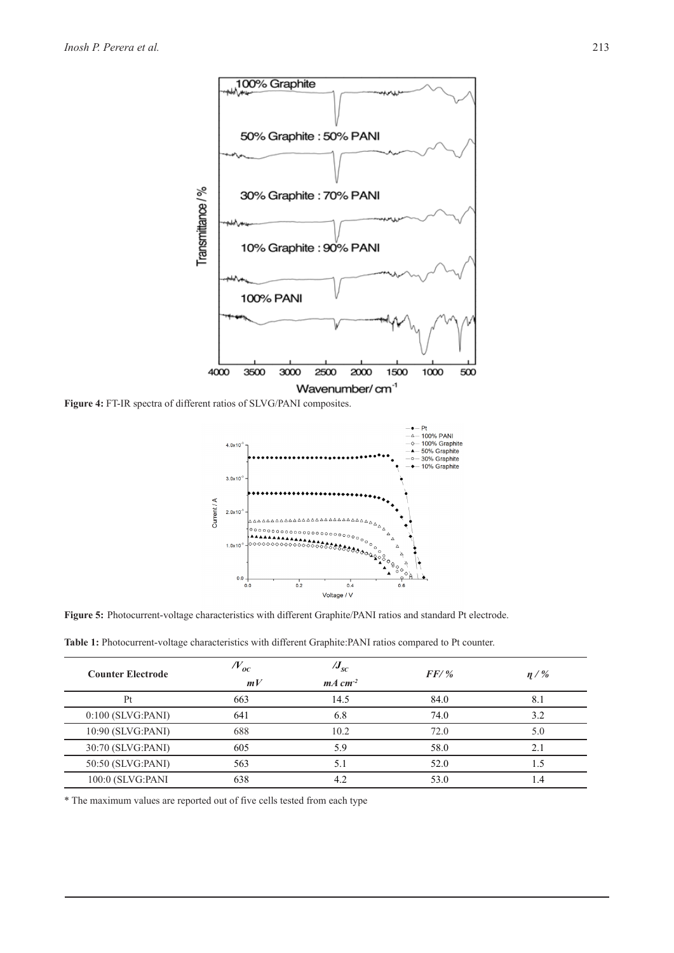

**Figure 4:** FT-IR spectra of different ratios of SLVG/PANI composites.



**Figure 5:** Photocurrent-voltage characteristics with different Graphite/PANI ratios and standard Pt electrode.

**Table 1:** Photocurrent-voltage characteristics with different Graphite:PANI ratios compared to Pt counter.

| <b>Counter Electrode</b> | $N_{oc}$<br>mV | $J_{sc}$<br>$mA \, cm^{-2}$ | $FF/$ % | $\eta$ / % |
|--------------------------|----------------|-----------------------------|---------|------------|
| Pt                       | 663            | 14.5                        | 84.0    | 8.1        |
| $0:100$ (SLVG:PANI)      | 641            | 6.8                         | 74.0    | 3.2        |
| 10:90 (SLVG:PANI)        | 688            | 10.2                        | 72.0    | 5.0        |
| 30:70 (SLVG:PANI)        | 605            | 5.9                         | 58.0    | 2.1        |
| 50:50 (SLVG:PANI)        | 563            | 5.1                         | 52.0    | 1.5        |
| 100:0 (SLVG:PANI         | 638            | 4.2                         | 53.0    | 1.4        |

\* The maximum values are reported out of five cells tested from each type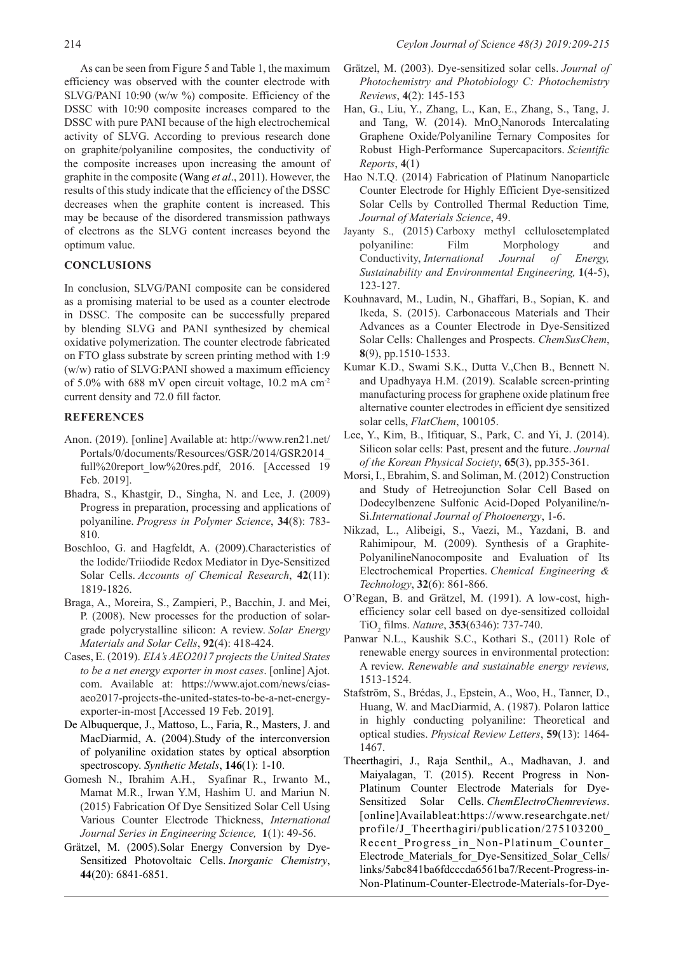As can be seen from Figure 5 and Table 1, the maximum efficiency was observed with the counter electrode with SLVG/PANI 10:90 (w/w %) composite. Efficiency of the DSSC with 10:90 composite increases compared to the DSSC with pure PANI because of the high electrochemical activity of SLVG. According to previous research done on graphite/polyaniline composites, the conductivity of the composite increases upon increasing the amount of graphite in the composite (Wang *et al*., 2011). However, the results of this study indicate that the efficiency of the DSSC decreases when the graphite content is increased. This may be because of the disordered transmission pathways of electrons as the SLVG content increases beyond the optimum value.

### **CONCLUSIONS**

In conclusion, SLVG/PANI composite can be considered as a promising material to be used as a counter electrode in DSSC. The composite can be successfully prepared by blending SLVG and PANI synthesized by chemical oxidative polymerization. The counter electrode fabricated on FTO glass substrate by screen printing method with 1:9 (w/w) ratio of SLVG:PANI showed a maximum efficiency of 5.0% with 688 mV open circuit voltage, 10.2 mA cm-2 current density and 72.0 fill factor.

### **REFERENCES**

- Anon. (2019). [online] Available at: http://www.ren21.net/ Portals/0/documents/Resources/GSR/2014/GSR2014\_ full%20report\_low%20res.pdf, 2016. [Accessed 19 Feb. 2019].
- Bhadra, S., Khastgir, D., Singha, N. and Lee, J. (2009) Progress in preparation, processing and applications of polyaniline. *Progress in Polymer Science*, **34**(8): 783- 810.
- Boschloo, G. and Hagfeldt, A. (2009).Characteristics of the Iodide/Triiodide Redox Mediator in Dye-Sensitized Solar Cells. *Accounts of Chemical Research*, **42**(11): 1819-1826.
- Braga, A., Moreira, S., Zampieri, P., Bacchin, J. and Mei, P. (2008). New processes for the production of solargrade polycrystalline silicon: A review. *Solar Energy Materials and Solar Cells*, **92**(4): 418-424.
- Cases, E. (2019). *EIA's AEO2017 projects the United States to be a net energy exporter in most cases*. [online] Ajot. com. Available at: https://www.ajot.com/news/eiasaeo2017-projects-the-united-states-to-be-a-net-energyexporter-in-most [Accessed 19 Feb. 2019].
- De Albuquerque, J., Mattoso, L., Faria, R., Masters, J. and MacDiarmid, A. (2004).Study of the interconversion of polyaniline oxidation states by optical absorption spectroscopy. *Synthetic Metals*, **146**(1): 1-10.
- Gomesh N., Ibrahim A.H., Syafinar R., Irwanto M., Mamat M.R., Irwan Y.M, Hashim U. and Mariun N. (2015) Fabrication Of Dye Sensitized Solar Cell Using Various Counter Electrode Thickness, *International Journal Series in Engineering Science,* **1**(1): 49-56.
- Grätzel, M. (2005).Solar Energy Conversion by Dye-Sensitized Photovoltaic Cells. *Inorganic Chemistry*, **44**(20): 6841-6851.
- Grätzel, M. (2003). Dye-sensitized solar cells. *Journal of Photochemistry and Photobiology C: Photochemistry Reviews*, **4**(2): 145-153
- Han, G., Liu, Y., Zhang, L., Kan, E., Zhang, S., Tang, J. and Tang, W. (2014).  $MnO_2$ Nanorods Intercalating Graphene Oxide/Polyaniline Ternary Composites for Robust High-Performance Supercapacitors. *Scientific Reports*, **4**(1)
- Hao N.T.Q. (2014) Fabrication of Platinum Nanoparticle Counter Electrode for Highly Efficient Dye-sensitized Solar Cells by Controlled Thermal Reduction Time*, Journal of Materials Science*, 49.
- Jayanty S., (2015) Carboxy methyl cellulosetemplated polyaniline: Film Morphology and Conductivity, *International Journal of Energy, Sustainability and Environmental Engineering,* **1**(4-5), 123-127.
- Kouhnavard, M., Ludin, N., Ghaffari, B., Sopian, K. and Ikeda, S. (2015). Carbonaceous Materials and Their Advances as a Counter Electrode in Dye-Sensitized Solar Cells: Challenges and Prospects. *ChemSusChem*, **8**(9), pp.1510-1533.
- Kumar K.D., Swami S.K., Dutta V.,Chen B., Bennett N. and Upadhyaya H.M. (2019). Scalable screen-printing manufacturing process for graphene oxide platinum free alternative counter electrodes in efficient dye sensitized solar cells, *FlatChem*, 100105.
- Lee, Y., Kim, B., Ifitiquar, S., Park, C. and Yi, J. (2014). Silicon solar cells: Past, present and the future. *Journal of the Korean Physical Society*, **65**(3), pp.355-361.
- Morsi, I., Ebrahim, S. and Soliman, M. (2012) Construction and Study of Hetreojunction Solar Cell Based on Dodecylbenzene Sulfonic Acid-Doped Polyaniline/n-Si.*International Journal of Photoenergy*, 1-6.
- Nikzad, L., Alibeigi, S., Vaezi, M., Yazdani, B. and Rahimipour, M. (2009). Synthesis of a Graphite-PolyanilineNanocomposite and Evaluation of Its Electrochemical Properties. *Chemical Engineering & Technology*, **32**(6): 861-866.
- O'Regan, B. and Grätzel, M. (1991). A low-cost, highefficiency solar cell based on dye-sensitized colloidal TiO2 films. *Nature*, **353**(6346): 737-740.
- Panwar N.L., Kaushik S.C., Kothari S., (2011) Role of renewable energy sources in environmental protection: A review. *Renewable and sustainable energy reviews,*  1513-1524.
- Stafström, S., Brédas, J., Epstein, A., Woo, H., Tanner, D., Huang, W. and MacDiarmid, A. (1987). Polaron lattice in highly conducting polyaniline: Theoretical and optical studies. *Physical Review Letters*, **59**(13): 1464- 1467.
- Theerthagiri, J., Raja Senthil,, A., Madhavan, J. and Maiyalagan, T. (2015). Recent Progress in Non-Platinum Counter Electrode Materials for Dye-Sensitized Solar Cells. *ChemElectroChemreviews*. [online]Availableat:https://www.researchgate.net/ profile/J\_Theerthagiri/publication/275103200\_ Recent Progress in Non-Platinum Counter Electrode\_Materials\_for\_Dye-Sensitized\_Solar\_Cells/ links/5abc841ba6fdcccda6561ba7/Recent-Progress-in-Non-Platinum-Counter-Electrode-Materials-for-Dye-